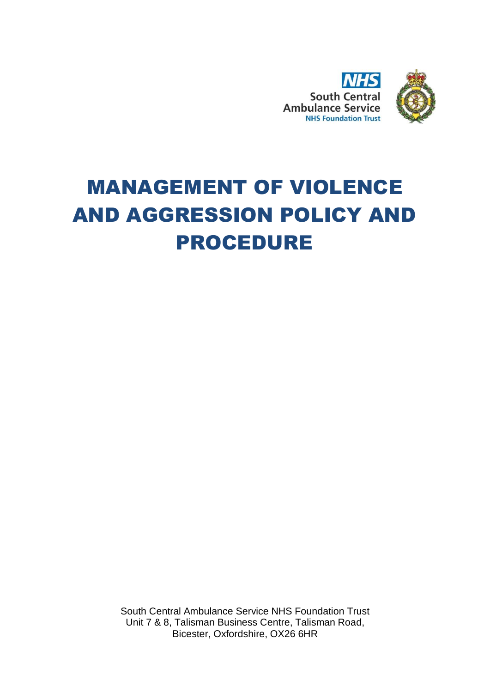

# MANAGEMENT OF VIOLENCE AND AGGRESSION POLICY AND PROCEDURE

South Central Ambulance Service NHS Foundation Trust Unit 7 & 8, Talisman Business Centre, Talisman Road, Bicester, Oxfordshire, OX26 6HR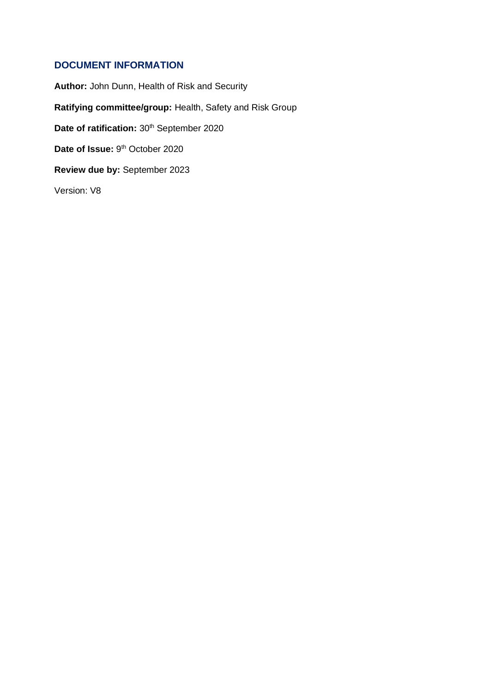## <span id="page-1-0"></span>**DOCUMENT INFORMATION**

**Author:** John Dunn, Health of Risk and Security **Ratifying committee/group:** Health, Safety and Risk Group Date of ratification: 30<sup>th</sup> September 2020 Date of Issue: 9<sup>th</sup> October 2020 **Review due by:** September 2023 Version: V8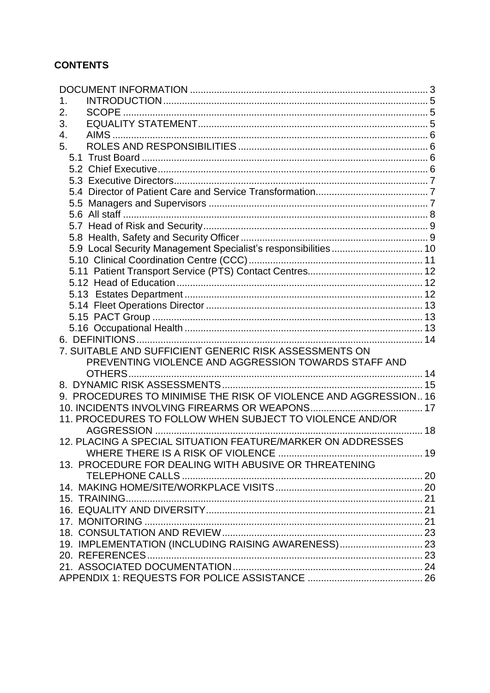# **CONTENTS**

| 1.<br>2.<br>3.<br>4.<br>5.<br>5.9 Local Security Management Specialist's responsibilities 10<br>7. SUITABLE AND SUFFICIENT GENERIC RISK ASSESSMENTS ON<br>PREVENTING VIOLENCE AND AGGRESSION TOWARDS STAFF AND<br>9. PROCEDURES TO MINIMISE THE RISK OF VIOLENCE AND AGGRESSION 16<br>11. PROCEDURES TO FOLLOW WHEN SUBJECT TO VIOLENCE AND/OR<br>12. PLACING A SPECIAL SITUATION FEATURE/MARKER ON ADDRESSES<br>WHERE THERE IS A RISK OF VIOLENCE<br>19<br>13. PROCEDURE FOR DEALING WITH ABUSIVE OR THREATENING |
|-------------------------------------------------------------------------------------------------------------------------------------------------------------------------------------------------------------------------------------------------------------------------------------------------------------------------------------------------------------------------------------------------------------------------------------------------------------------------------------------------------------------|
|                                                                                                                                                                                                                                                                                                                                                                                                                                                                                                                   |
|                                                                                                                                                                                                                                                                                                                                                                                                                                                                                                                   |
|                                                                                                                                                                                                                                                                                                                                                                                                                                                                                                                   |
|                                                                                                                                                                                                                                                                                                                                                                                                                                                                                                                   |
|                                                                                                                                                                                                                                                                                                                                                                                                                                                                                                                   |
|                                                                                                                                                                                                                                                                                                                                                                                                                                                                                                                   |
|                                                                                                                                                                                                                                                                                                                                                                                                                                                                                                                   |
|                                                                                                                                                                                                                                                                                                                                                                                                                                                                                                                   |
|                                                                                                                                                                                                                                                                                                                                                                                                                                                                                                                   |
|                                                                                                                                                                                                                                                                                                                                                                                                                                                                                                                   |
|                                                                                                                                                                                                                                                                                                                                                                                                                                                                                                                   |
|                                                                                                                                                                                                                                                                                                                                                                                                                                                                                                                   |
|                                                                                                                                                                                                                                                                                                                                                                                                                                                                                                                   |
|                                                                                                                                                                                                                                                                                                                                                                                                                                                                                                                   |
|                                                                                                                                                                                                                                                                                                                                                                                                                                                                                                                   |
|                                                                                                                                                                                                                                                                                                                                                                                                                                                                                                                   |
|                                                                                                                                                                                                                                                                                                                                                                                                                                                                                                                   |
|                                                                                                                                                                                                                                                                                                                                                                                                                                                                                                                   |
|                                                                                                                                                                                                                                                                                                                                                                                                                                                                                                                   |
|                                                                                                                                                                                                                                                                                                                                                                                                                                                                                                                   |
|                                                                                                                                                                                                                                                                                                                                                                                                                                                                                                                   |
|                                                                                                                                                                                                                                                                                                                                                                                                                                                                                                                   |
|                                                                                                                                                                                                                                                                                                                                                                                                                                                                                                                   |
|                                                                                                                                                                                                                                                                                                                                                                                                                                                                                                                   |
|                                                                                                                                                                                                                                                                                                                                                                                                                                                                                                                   |
|                                                                                                                                                                                                                                                                                                                                                                                                                                                                                                                   |
|                                                                                                                                                                                                                                                                                                                                                                                                                                                                                                                   |
|                                                                                                                                                                                                                                                                                                                                                                                                                                                                                                                   |
|                                                                                                                                                                                                                                                                                                                                                                                                                                                                                                                   |
|                                                                                                                                                                                                                                                                                                                                                                                                                                                                                                                   |
|                                                                                                                                                                                                                                                                                                                                                                                                                                                                                                                   |
|                                                                                                                                                                                                                                                                                                                                                                                                                                                                                                                   |
|                                                                                                                                                                                                                                                                                                                                                                                                                                                                                                                   |
|                                                                                                                                                                                                                                                                                                                                                                                                                                                                                                                   |
|                                                                                                                                                                                                                                                                                                                                                                                                                                                                                                                   |
|                                                                                                                                                                                                                                                                                                                                                                                                                                                                                                                   |
|                                                                                                                                                                                                                                                                                                                                                                                                                                                                                                                   |
|                                                                                                                                                                                                                                                                                                                                                                                                                                                                                                                   |
|                                                                                                                                                                                                                                                                                                                                                                                                                                                                                                                   |
| 19. IMPLEMENTATION (INCLUDING RAISING AWARENESS) 23                                                                                                                                                                                                                                                                                                                                                                                                                                                               |
|                                                                                                                                                                                                                                                                                                                                                                                                                                                                                                                   |
|                                                                                                                                                                                                                                                                                                                                                                                                                                                                                                                   |
|                                                                                                                                                                                                                                                                                                                                                                                                                                                                                                                   |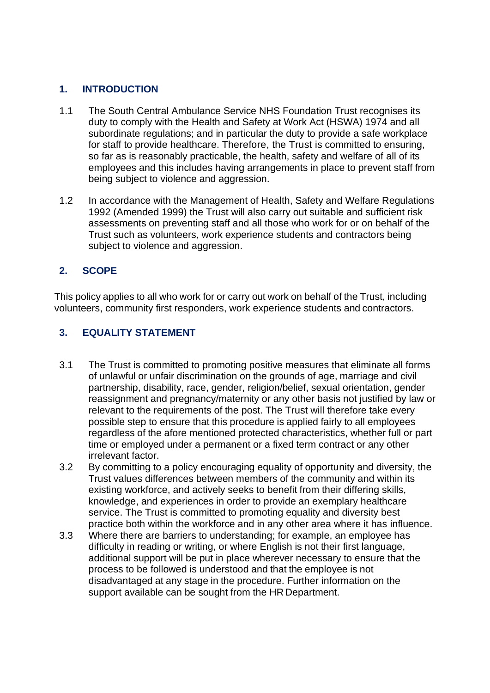## <span id="page-3-0"></span>**1. INTRODUCTION**

- 1.1 The South Central Ambulance Service NHS Foundation Trust recognises its duty to comply with the Health and Safety at Work Act (HSWA) 1974 and all subordinate regulations; and in particular the duty to provide a safe workplace for staff to provide healthcare. Therefore, the Trust is committed to ensuring, so far as is reasonably practicable, the health, safety and welfare of all of its employees and this includes having arrangements in place to prevent staff from being subject to violence and aggression.
- 1.2 In accordance with the Management of Health, Safety and Welfare Regulations 1992 (Amended 1999) the Trust will also carry out suitable and sufficient risk assessments on preventing staff and all those who work for or on behalf of the Trust such as volunteers, work experience students and contractors being subject to violence and aggression.

## <span id="page-3-1"></span>**2. SCOPE**

This policy applies to all who work for or carry out work on behalf of the Trust, including volunteers, community first responders, work experience students and contractors.

## <span id="page-3-2"></span>**3. EQUALITY STATEMENT**

- 3.1 The Trust is committed to promoting positive measures that eliminate all forms of unlawful or unfair discrimination on the grounds of age, marriage and civil partnership, disability, race, gender, religion/belief, sexual orientation, gender reassignment and pregnancy/maternity or any other basis not justified by law or relevant to the requirements of the post. The Trust will therefore take every possible step to ensure that this procedure is applied fairly to all employees regardless of the afore mentioned protected characteristics, whether full or part time or employed under a permanent or a fixed term contract or any other irrelevant factor.
- 3.2 By committing to a policy encouraging equality of opportunity and diversity, the Trust values differences between members of the community and within its existing workforce, and actively seeks to benefit from their differing skills, knowledge, and experiences in order to provide an exemplary healthcare service. The Trust is committed to promoting equality and diversity best practice both within the workforce and in any other area where it has influence.
- 3.3 Where there are barriers to understanding; for example, an employee has difficulty in reading or writing, or where English is not their first language, additional support will be put in place wherever necessary to ensure that the process to be followed is understood and that the employee is not disadvantaged at any stage in the procedure. Further information on the support available can be sought from the HR Department.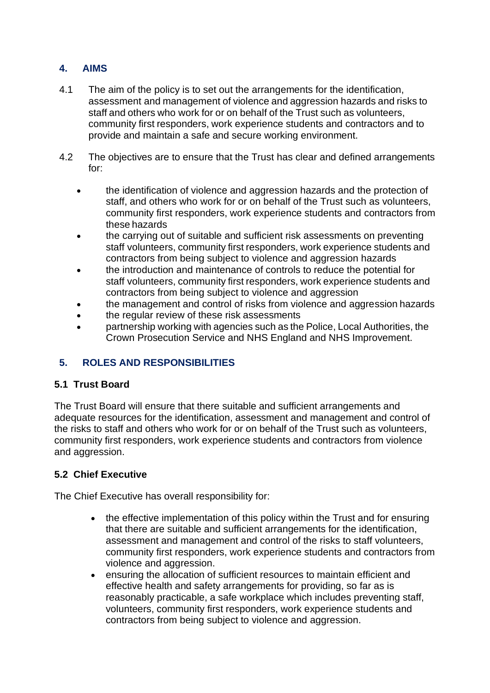## <span id="page-4-0"></span>**4. AIMS**

- 4.1 The aim of the policy is to set out the arrangements for the identification, assessment and management of violence and aggression hazards and risks to staff and others who work for or on behalf of the Trust such as volunteers, community first responders, work experience students and contractors and to provide and maintain a safe and secure working environment.
- 4.2 The objectives are to ensure that the Trust has clear and defined arrangements for:
	- the identification of violence and aggression hazards and the protection of staff, and others who work for or on behalf of the Trust such as volunteers, community first responders, work experience students and contractors from these hazards
	- the carrying out of suitable and sufficient risk assessments on preventing staff volunteers, community first responders, work experience students and contractors from being subject to violence and aggression hazards
	- the introduction and maintenance of controls to reduce the potential for staff volunteers, community first responders, work experience students and contractors from being subject to violence and aggression
	- the management and control of risks from violence and aggression hazards
	- the regular review of these risk assessments
	- partnership working with agencies such as the Police, Local Authorities, the Crown Prosecution Service and NHS England and NHS Improvement.

# <span id="page-4-1"></span>**5. ROLES AND RESPONSIBILITIES**

## <span id="page-4-2"></span>**5.1 Trust Board**

The Trust Board will ensure that there suitable and sufficient arrangements and adequate resources for the identification, assessment and management and control of the risks to staff and others who work for or on behalf of the Trust such as volunteers, community first responders, work experience students and contractors from violence and aggression.

## <span id="page-4-3"></span>**5.2 Chief Executive**

The Chief Executive has overall responsibility for:

- the effective implementation of this policy within the Trust and for ensuring that there are suitable and sufficient arrangements for the identification, assessment and management and control of the risks to staff volunteers, community first responders, work experience students and contractors from violence and aggression.
- ensuring the allocation of sufficient resources to maintain efficient and effective health and safety arrangements for providing, so far as is reasonably practicable, a safe workplace which includes preventing staff, volunteers, community first responders, work experience students and contractors from being subject to violence and aggression.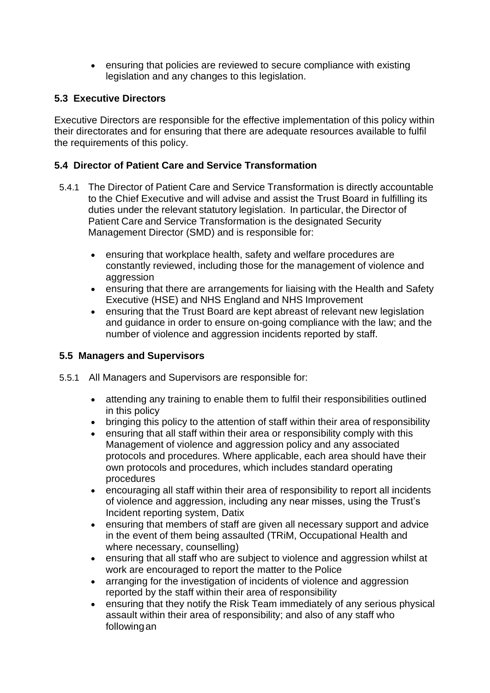• ensuring that policies are reviewed to secure compliance with existing legislation and any changes to this legislation.

## <span id="page-5-0"></span>**5.3 Executive Directors**

Executive Directors are responsible for the effective implementation of this policy within their directorates and for ensuring that there are adequate resources available to fulfil the requirements of this policy.

## <span id="page-5-1"></span>**5.4 Director of Patient Care and Service Transformation**

- 5.4.1 The Director of Patient Care and Service Transformation is directly accountable to the Chief Executive and will advise and assist the Trust Board in fulfilling its duties under the relevant statutory legislation. In particular, the Director of Patient Care and Service Transformation is the designated Security Management Director (SMD) and is responsible for:
	- ensuring that workplace health, safety and welfare procedures are constantly reviewed, including those for the management of violence and aggression
	- ensuring that there are arrangements for liaising with the Health and Safety Executive (HSE) and NHS England and NHS Improvement
	- ensuring that the Trust Board are kept abreast of relevant new legislation and guidance in order to ensure on-going compliance with the law; and the number of violence and aggression incidents reported by staff.

## <span id="page-5-2"></span>**5.5 Managers and Supervisors**

- 5.5.1 All Managers and Supervisors are responsible for:
	- attending any training to enable them to fulfil their responsibilities outlined in this policy
	- bringing this policy to the attention of staff within their area of responsibility
	- ensuring that all staff within their area or responsibility comply with this Management of violence and aggression policy and any associated protocols and procedures. Where applicable, each area should have their own protocols and procedures, which includes standard operating procedures
	- encouraging all staff within their area of responsibility to report all incidents of violence and aggression, including any near misses, using the Trust's Incident reporting system, Datix
	- ensuring that members of staff are given all necessary support and advice in the event of them being assaulted (TRiM, Occupational Health and where necessary, counselling)
	- ensuring that all staff who are subject to violence and aggression whilst at work are encouraged to report the matter to the Police
	- arranging for the investigation of incidents of violence and aggression reported by the staff within their area of responsibility
	- ensuring that they notify the Risk Team immediately of any serious physical assault within their area of responsibility; and also of any staff who followingan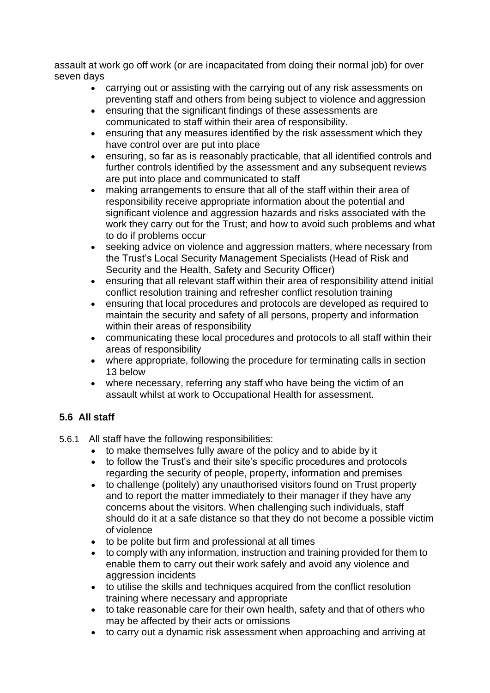assault at work go off work (or are incapacitated from doing their normal job) for over seven days

- carrying out or assisting with the carrying out of any risk assessments on preventing staff and others from being subject to violence and aggression
- ensuring that the significant findings of these assessments are communicated to staff within their area of responsibility.
- ensuring that any measures identified by the risk assessment which they have control over are put into place
- ensuring, so far as is reasonably practicable, that all identified controls and further controls identified by the assessment and any subsequent reviews are put into place and communicated to staff
- making arrangements to ensure that all of the staff within their area of responsibility receive appropriate information about the potential and significant violence and aggression hazards and risks associated with the work they carry out for the Trust; and how to avoid such problems and what to do if problems occur
- seeking advice on violence and aggression matters, where necessary from the Trust's Local Security Management Specialists (Head of Risk and Security and the Health, Safety and Security Officer)
- ensuring that all relevant staff within their area of responsibility attend initial conflict resolution training and refresher conflict resolution training
- ensuring that local procedures and protocols are developed as required to maintain the security and safety of all persons, property and information within their areas of responsibility
- communicating these local procedures and protocols to all staff within their areas of responsibility
- where appropriate, following the procedure for terminating calls in section 13 below
- where necessary, referring any staff who have being the victim of an assault whilst at work to Occupational Health for assessment.

# <span id="page-6-0"></span>**5.6 All staff**

- 5.6.1 All staff have the following responsibilities:
	- to make themselves fully aware of the policy and to abide by it
	- to follow the Trust's and their site's specific procedures and protocols regarding the security of people, property, information and premises
	- to challenge (politely) any unauthorised visitors found on Trust property and to report the matter immediately to their manager if they have any concerns about the visitors. When challenging such individuals, staff should do it at a safe distance so that they do not become a possible victim of violence
	- to be polite but firm and professional at all times
	- to comply with any information, instruction and training provided for them to enable them to carry out their work safely and avoid any violence and aggression incidents
	- to utilise the skills and techniques acquired from the conflict resolution training where necessary and appropriate
	- to take reasonable care for their own health, safety and that of others who may be affected by their acts or omissions
	- to carry out a dynamic risk assessment when approaching and arriving at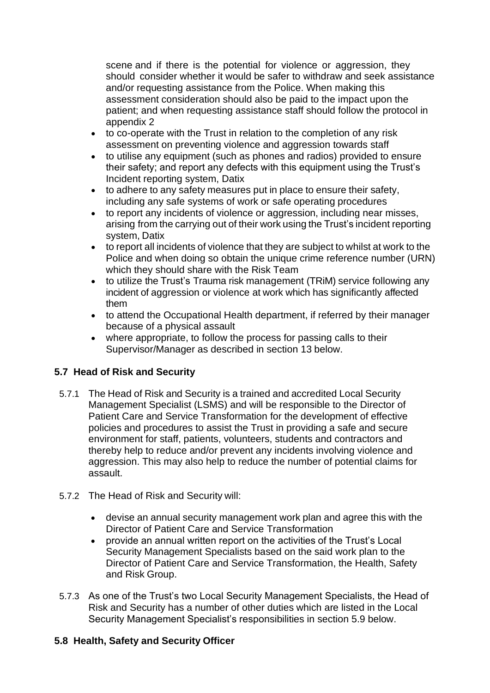scene and if there is the potential for violence or aggression, they should consider whether it would be safer to withdraw and seek assistance and/or requesting assistance from the Police. When making this assessment consideration should also be paid to the impact upon the patient; and when requesting assistance staff should follow the protocol in appendix 2

- to co-operate with the Trust in relation to the completion of any risk assessment on preventing violence and aggression towards staff
- to utilise any equipment (such as phones and radios) provided to ensure their safety; and report any defects with this equipment using the Trust's Incident reporting system, Datix
- to adhere to any safety measures put in place to ensure their safety, including any safe systems of work or safe operating procedures
- to report any incidents of violence or aggression, including near misses, arising from the carrying out of their work using the Trust's incident reporting system, Datix
- to report all incidents of violence that they are subject to whilst at work to the Police and when doing so obtain the unique crime reference number (URN) which they should share with the Risk Team
- to utilize the Trust's Trauma risk management (TRiM) service following any incident of aggression or violence at work which has significantly affected them
- to attend the Occupational Health department, if referred by their manager because of a physical assault
- where appropriate, to follow the process for passing calls to their Supervisor/Manager as described in section 13 below.

# <span id="page-7-0"></span>**5.7 Head of Risk and Security**

- 5.7.1 The Head of Risk and Security is a trained and accredited Local Security Management Specialist (LSMS) and will be responsible to the Director of Patient Care and Service Transformation for the development of effective policies and procedures to assist the Trust in providing a safe and secure environment for staff, patients, volunteers, students and contractors and thereby help to reduce and/or prevent any incidents involving violence and aggression. This may also help to reduce the number of potential claims for assault.
- 5.7.2 The Head of Risk and Security will:
	- devise an annual security management work plan and agree this with the Director of Patient Care and Service Transformation
	- provide an annual written report on the activities of the Trust's Local Security Management Specialists based on the said work plan to the Director of Patient Care and Service Transformation, the Health, Safety and Risk Group.
- 5.7.3 As one of the Trust's two Local Security Management Specialists, the Head of Risk and Security has a number of other duties which are listed in the Local Security Management Specialist's responsibilities in section 5.9 below.

## <span id="page-7-1"></span>**5.8 Health, Safety and Security Officer**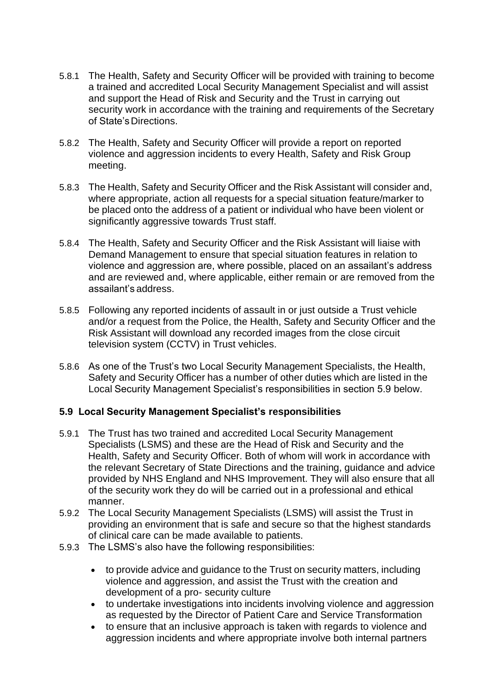- 5.8.1 The Health, Safety and Security Officer will be provided with training to become a trained and accredited Local Security Management Specialist and will assist and support the Head of Risk and Security and the Trust in carrying out security work in accordance with the training and requirements of the Secretary of State'sDirections.
- 5.8.2 The Health, Safety and Security Officer will provide a report on reported violence and aggression incidents to every Health, Safety and Risk Group meeting.
- 5.8.3 The Health, Safety and Security Officer and the Risk Assistant will consider and, where appropriate, action all requests for a special situation feature/marker to be placed onto the address of a patient or individual who have been violent or significantly aggressive towards Trust staff.
- 5.8.4 The Health, Safety and Security Officer and the Risk Assistant will liaise with Demand Management to ensure that special situation features in relation to violence and aggression are, where possible, placed on an assailant's address and are reviewed and, where applicable, either remain or are removed from the assailant's address.
- 5.8.5 Following any reported incidents of assault in or just outside a Trust vehicle and/or a request from the Police, the Health, Safety and Security Officer and the Risk Assistant will download any recorded images from the close circuit television system (CCTV) in Trust vehicles.
- 5.8.6 As one of the Trust's two Local Security Management Specialists, the Health, Safety and Security Officer has a number of other duties which are listed in the Local Security Management Specialist's responsibilities in section 5.9 below.

#### <span id="page-8-0"></span>**5.9 Local Security Management Specialist's responsibilities**

- 5.9.1 The Trust has two trained and accredited Local Security Management Specialists (LSMS) and these are the Head of Risk and Security and the Health, Safety and Security Officer. Both of whom will work in accordance with the relevant Secretary of State Directions and the training, guidance and advice provided by NHS England and NHS Improvement. They will also ensure that all of the security work they do will be carried out in a professional and ethical manner.
- 5.9.2 The Local Security Management Specialists (LSMS) will assist the Trust in providing an environment that is safe and secure so that the highest standards of clinical care can be made available to patients.
- 5.9.3 The LSMS's also have the following responsibilities:
	- to provide advice and guidance to the Trust on security matters, including violence and aggression, and assist the Trust with the creation and development of a pro- security culture
	- to undertake investigations into incidents involving violence and aggression as requested by the Director of Patient Care and Service Transformation
	- to ensure that an inclusive approach is taken with regards to violence and aggression incidents and where appropriate involve both internal partners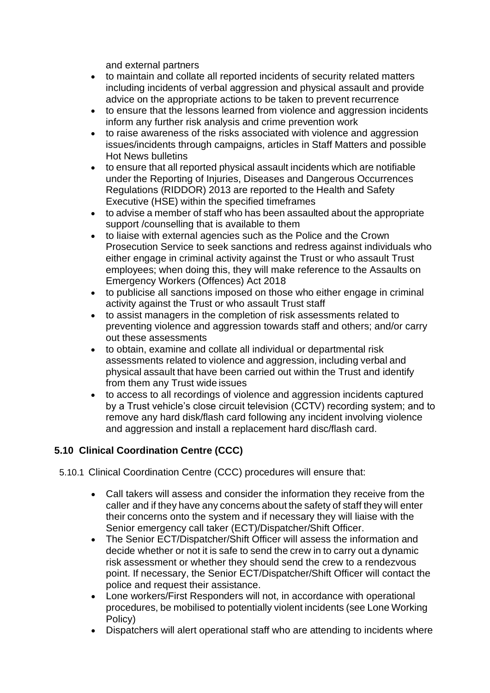and external partners

- to maintain and collate all reported incidents of security related matters including incidents of verbal aggression and physical assault and provide advice on the appropriate actions to be taken to prevent recurrence
- to ensure that the lessons learned from violence and aggression incidents inform any further risk analysis and crime prevention work
- to raise awareness of the risks associated with violence and aggression issues/incidents through campaigns, articles in Staff Matters and possible Hot News bulletins
- to ensure that all reported physical assault incidents which are notifiable under the Reporting of Injuries, Diseases and Dangerous Occurrences Regulations (RIDDOR) 2013 are reported to the Health and Safety Executive (HSE) within the specified timeframes
- to advise a member of staff who has been assaulted about the appropriate support /counselling that is available to them
- to liaise with external agencies such as the Police and the Crown Prosecution Service to seek sanctions and redress against individuals who either engage in criminal activity against the Trust or who assault Trust employees; when doing this, they will make reference to the Assaults on Emergency Workers (Offences) Act 2018
- to publicise all sanctions imposed on those who either engage in criminal activity against the Trust or who assault Trust staff
- to assist managers in the completion of risk assessments related to preventing violence and aggression towards staff and others; and/or carry out these assessments
- to obtain, examine and collate all individual or departmental risk assessments related to violence and aggression, including verbal and physical assault that have been carried out within the Trust and identify from them any Trust wide issues
- to access to all recordings of violence and aggression incidents captured by a Trust vehicle's close circuit television (CCTV) recording system; and to remove any hard disk/flash card following any incident involving violence and aggression and install a replacement hard disc/flash card.

# <span id="page-9-0"></span>**5.10 Clinical Coordination Centre (CCC)**

- 5.10.1 Clinical Coordination Centre (CCC) procedures will ensure that:
	- Call takers will assess and consider the information they receive from the caller and if they have any concerns about the safety of staff they will enter their concerns onto the system and if necessary they will liaise with the Senior emergency call taker (ECT)/Dispatcher/Shift Officer.
	- The Senior ECT/Dispatcher/Shift Officer will assess the information and decide whether or not it is safe to send the crew in to carry out a dynamic risk assessment or whether they should send the crew to a rendezvous point. If necessary, the Senior ECT/Dispatcher/Shift Officer will contact the police and request their assistance.
	- Lone workers/First Responders will not, in accordance with operational procedures, be mobilised to potentially violent incidents (see Lone Working Policy)
	- Dispatchers will alert operational staff who are attending to incidents where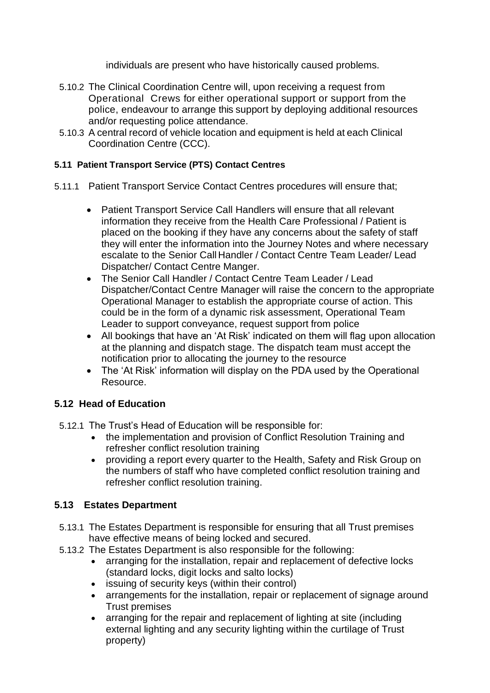individuals are present who have historically caused problems.

- 5.10.2 The Clinical Coordination Centre will, upon receiving a request from Operational Crews for either operational support or support from the police, endeavour to arrange this support by deploying additional resources and/or requesting police attendance.
- 5.10.3 A central record of vehicle location and equipment is held at each Clinical Coordination Centre (CCC).

## <span id="page-10-0"></span>**5.11 Patient Transport Service (PTS) Contact Centres**

- 5.11.1 Patient Transport Service Contact Centres procedures will ensure that;
	- Patient Transport Service Call Handlers will ensure that all relevant information they receive from the Health Care Professional / Patient is placed on the booking if they have any concerns about the safety of staff they will enter the information into the Journey Notes and where necessary escalate to the Senior Call Handler / Contact Centre Team Leader/ Lead Dispatcher/ Contact Centre Manger.
	- The Senior Call Handler / Contact Centre Team Leader / Lead Dispatcher/Contact Centre Manager will raise the concern to the appropriate Operational Manager to establish the appropriate course of action. This could be in the form of a dynamic risk assessment, Operational Team Leader to support conveyance, request support from police
	- All bookings that have an 'At Risk' indicated on them will flag upon allocation at the planning and dispatch stage. The dispatch team must accept the notification prior to allocating the journey to the resource
	- The 'At Risk' information will display on the PDA used by the Operational Resource.

# <span id="page-10-1"></span>**5.12 Head of Education**

- 5.12.1 The Trust's Head of Education will be responsible for:
	- the implementation and provision of Conflict Resolution Training and refresher conflict resolution training
	- providing a report every quarter to the Health, Safety and Risk Group on the numbers of staff who have completed conflict resolution training and refresher conflict resolution training.

# <span id="page-10-2"></span>**5.13 Estates Department**

- 5.13.1 The Estates Department is responsible for ensuring that all Trust premises have effective means of being locked and secured.
- 5.13.2 The Estates Department is also responsible for the following:
	- arranging for the installation, repair and replacement of defective locks (standard locks, digit locks and salto locks)
	- issuing of security keys (within their control)
	- arrangements for the installation, repair or replacement of signage around Trust premises
	- arranging for the repair and replacement of lighting at site (including external lighting and any security lighting within the curtilage of Trust property)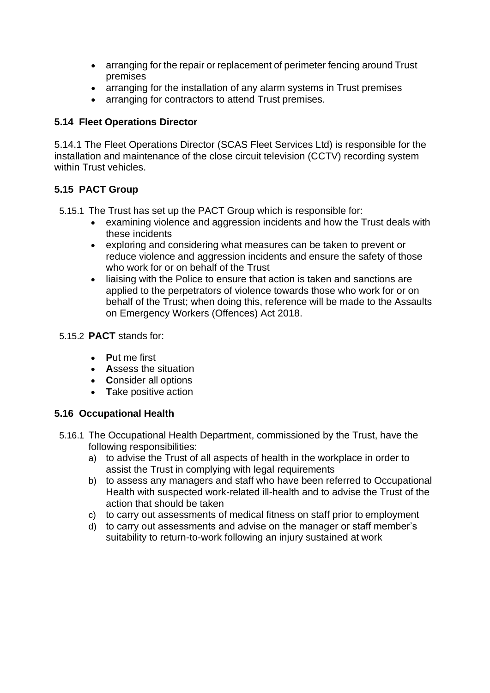- arranging for the repair or replacement of perimeter fencing around Trust premises
- arranging for the installation of any alarm systems in Trust premises
- arranging for contractors to attend Trust premises.

# <span id="page-11-0"></span>**5.14 Fleet Operations Director**

5.14.1 The Fleet Operations Director (SCAS Fleet Services Ltd) is responsible for the installation and maintenance of the close circuit television (CCTV) recording system within Trust vehicles.

# <span id="page-11-1"></span>**5.15 PACT Group**

5.15.1 The Trust has set up the PACT Group which is responsible for:

- examining violence and aggression incidents and how the Trust deals with these incidents
- exploring and considering what measures can be taken to prevent or reduce violence and aggression incidents and ensure the safety of those who work for or on behalf of the Trust
- liaising with the Police to ensure that action is taken and sanctions are applied to the perpetrators of violence towards those who work for or on behalf of the Trust; when doing this, reference will be made to the Assaults on Emergency Workers (Offences) Act 2018.
- 5.15.2 **PACT** stands for:
	- **P**ut me first
	- **A**ssess the situation
	- **C**onsider all options
	- **T**ake positive action

# <span id="page-11-2"></span>**5.16 Occupational Health**

- 5.16.1 The Occupational Health Department, commissioned by the Trust, have the following responsibilities:
	- a) to advise the Trust of all aspects of health in the workplace in order to assist the Trust in complying with legal requirements
	- b) to assess any managers and staff who have been referred to Occupational Health with suspected work-related ill-health and to advise the Trust of the action that should be taken
	- c) to carry out assessments of medical fitness on staff prior to employment
	- d) to carry out assessments and advise on the manager or staff member's suitability to return-to-work following an injury sustained at work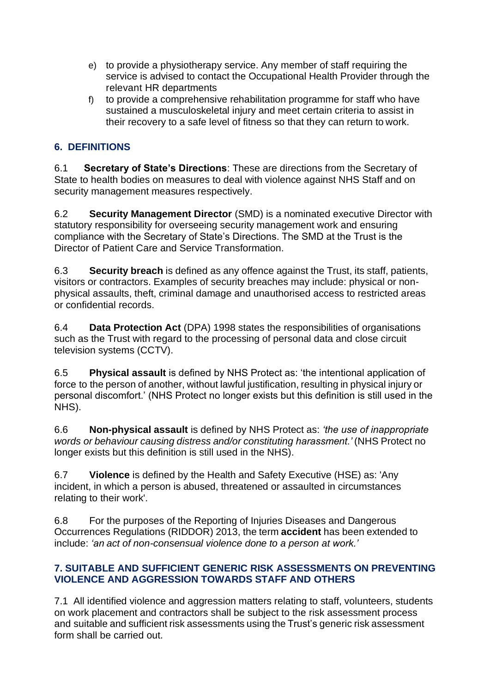- e) to provide a physiotherapy service. Any member of staff requiring the service is advised to contact the Occupational Health Provider through the relevant HR departments
- f) to provide a comprehensive rehabilitation programme for staff who have sustained a musculoskeletal injury and meet certain criteria to assist in their recovery to a safe level of fitness so that they can return to work.

# <span id="page-12-0"></span>**6. DEFINITIONS**

6.1 **Secretary of State's Directions**: These are directions from the Secretary of State to health bodies on measures to deal with violence against NHS Staff and on security management measures respectively.

6.2 **Security Management Director** (SMD) is a nominated executive Director with statutory responsibility for overseeing security management work and ensuring compliance with the Secretary of State's Directions. The SMD at the Trust is the Director of Patient Care and Service Transformation.

6.3 **Security breach** is defined as any offence against the Trust, its staff, patients, visitors or contractors. Examples of security breaches may include: physical or nonphysical assaults, theft, criminal damage and unauthorised access to restricted areas or confidential records.

6.4 **Data Protection Act** (DPA) 1998 states the responsibilities of organisations such as the Trust with regard to the processing of personal data and close circuit television systems (CCTV).

6.5 **Physical assault** is defined by NHS Protect as: 'the intentional application of force to the person of another, without lawful justification, resulting in physical injury or personal discomfort.' (NHS Protect no longer exists but this definition is still used in the NHS).

6.6 **Non-physical assault** is defined by NHS Protect as: *'the use of inappropriate words or behaviour causing distress and/or constituting harassment.'* (NHS Protect no longer exists but this definition is still used in the NHS).

6.7 **Violence** is defined by the Health and Safety Executive (HSE) as: 'Any incident, in which a person is abused, threatened or assaulted in circumstances relating to their work'.

6.8 For the purposes of the Reporting of Injuries Diseases and Dangerous Occurrences Regulations (RIDDOR) 2013, the term **accident** has been extended to include: *'an act of non-consensual violence done to a person at work.'*

## <span id="page-12-1"></span>**7. SUITABLE AND SUFFICIENT GENERIC RISK ASSESSMENTS ON PREVENTING VIOLENCE AND AGGRESSION TOWARDS STAFF AND OTHERS**

7.1 All identified violence and aggression matters relating to staff, volunteers, students on work placement and contractors shall be subject to the risk assessment process and suitable and sufficient risk assessments using the Trust's generic risk assessment form shall be carried out.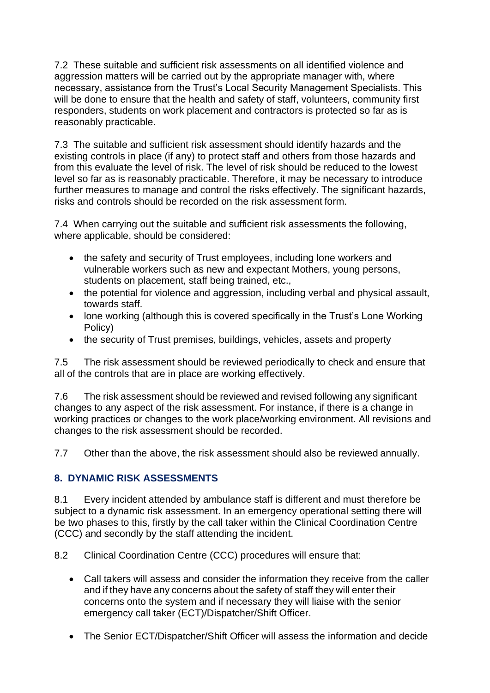7.2 These suitable and sufficient risk assessments on all identified violence and aggression matters will be carried out by the appropriate manager with, where necessary, assistance from the Trust's Local Security Management Specialists. This will be done to ensure that the health and safety of staff, volunteers, community first responders, students on work placement and contractors is protected so far as is reasonably practicable.

7.3 The suitable and sufficient risk assessment should identify hazards and the existing controls in place (if any) to protect staff and others from those hazards and from this evaluate the level of risk. The level of risk should be reduced to the lowest level so far as is reasonably practicable. Therefore, it may be necessary to introduce further measures to manage and control the risks effectively. The significant hazards, risks and controls should be recorded on the risk assessment form.

7.4 When carrying out the suitable and sufficient risk assessments the following, where applicable, should be considered:

- the safety and security of Trust employees, including lone workers and vulnerable workers such as new and expectant Mothers, young persons, students on placement, staff being trained, etc.,
- the potential for violence and aggression, including verbal and physical assault, towards staff.
- lone working (although this is covered specifically in the Trust's Lone Working Policy)
- the security of Trust premises, buildings, vehicles, assets and property

7.5 The risk assessment should be reviewed periodically to check and ensure that all of the controls that are in place are working effectively.

7.6 The risk assessment should be reviewed and revised following any significant changes to any aspect of the risk assessment. For instance, if there is a change in working practices or changes to the work place/working environment. All revisions and changes to the risk assessment should be recorded.

7.7 Other than the above, the risk assessment should also be reviewed annually.

## <span id="page-13-0"></span>**8. DYNAMIC RISK ASSESSMENTS**

8.1 Every incident attended by ambulance staff is different and must therefore be subject to a dynamic risk assessment. In an emergency operational setting there will be two phases to this, firstly by the call taker within the Clinical Coordination Centre (CCC) and secondly by the staff attending the incident.

8.2 Clinical Coordination Centre (CCC) procedures will ensure that:

- Call takers will assess and consider the information they receive from the caller and if they have any concerns about the safety of staff they will enter their concerns onto the system and if necessary they will liaise with the senior emergency call taker (ECT)/Dispatcher/Shift Officer.
- The Senior ECT/Dispatcher/Shift Officer will assess the information and decide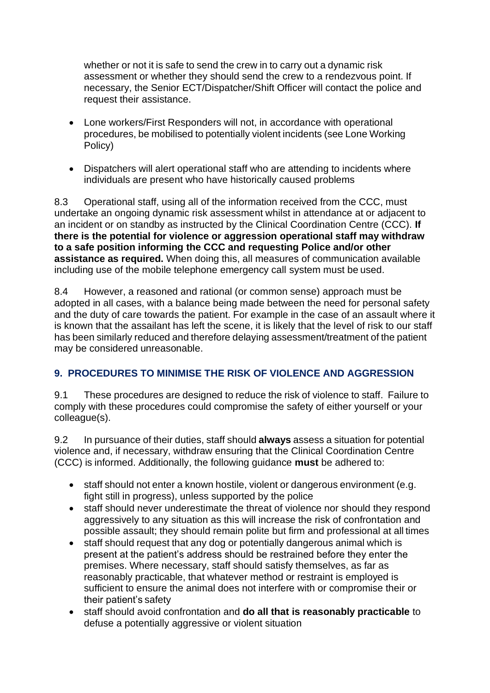whether or not it is safe to send the crew in to carry out a dynamic risk assessment or whether they should send the crew to a rendezvous point. If necessary, the Senior ECT/Dispatcher/Shift Officer will contact the police and request their assistance.

- Lone workers/First Responders will not, in accordance with operational procedures, be mobilised to potentially violent incidents (see Lone Working Policy)
- Dispatchers will alert operational staff who are attending to incidents where individuals are present who have historically caused problems

8.3 Operational staff, using all of the information received from the CCC, must undertake an ongoing dynamic risk assessment whilst in attendance at or adjacent to an incident or on standby as instructed by the Clinical Coordination Centre (CCC). **If there is the potential for violence or aggression operational staff may withdraw to a safe position informing the CCC and requesting Police and/or other assistance as required.** When doing this, all measures of communication available including use of the mobile telephone emergency call system must be used.

8.4 However, a reasoned and rational (or common sense) approach must be adopted in all cases, with a balance being made between the need for personal safety and the duty of care towards the patient. For example in the case of an assault where it is known that the assailant has left the scene, it is likely that the level of risk to our staff has been similarly reduced and therefore delaying assessment/treatment of the patient may be considered unreasonable.

# <span id="page-14-0"></span>**9. PROCEDURES TO MINIMISE THE RISK OF VIOLENCE AND AGGRESSION**

9.1 These procedures are designed to reduce the risk of violence to staff. Failure to comply with these procedures could compromise the safety of either yourself or your colleague(s).

9.2 In pursuance of their duties, staff should **always** assess a situation for potential violence and, if necessary, withdraw ensuring that the Clinical Coordination Centre (CCC) is informed. Additionally, the following guidance **must** be adhered to:

- staff should not enter a known hostile, violent or dangerous environment (e.g. fight still in progress), unless supported by the police
- staff should never underestimate the threat of violence nor should they respond aggressively to any situation as this will increase the risk of confrontation and possible assault; they should remain polite but firm and professional at all times
- staff should request that any dog or potentially dangerous animal which is present at the patient's address should be restrained before they enter the premises. Where necessary, staff should satisfy themselves, as far as reasonably practicable, that whatever method or restraint is employed is sufficient to ensure the animal does not interfere with or compromise their or their patient's safety
- staff should avoid confrontation and **do all that is reasonably practicable** to defuse a potentially aggressive or violent situation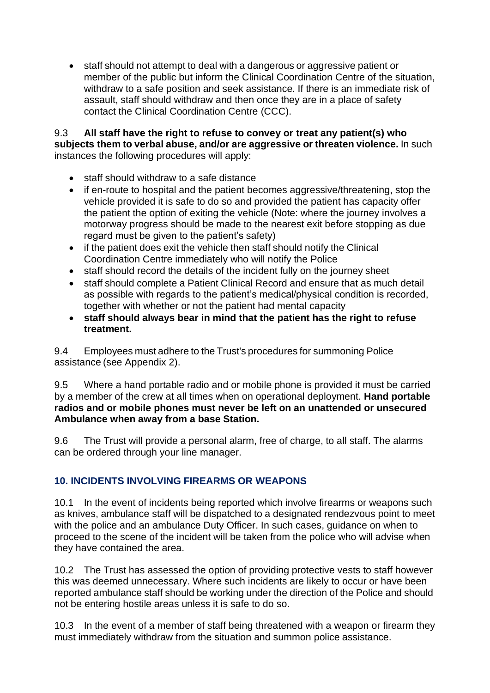• staff should not attempt to deal with a dangerous or aggressive patient or member of the public but inform the Clinical Coordination Centre of the situation, withdraw to a safe position and seek assistance. If there is an immediate risk of assault, staff should withdraw and then once they are in a place of safety contact the Clinical Coordination Centre (CCC).

9.3 **All staff have the right to refuse to convey or treat any patient(s) who subjects them to verbal abuse, and/or are aggressive or threaten violence.** In such instances the following procedures will apply:

- staff should withdraw to a safe distance
- if en-route to hospital and the patient becomes aggressive/threatening, stop the vehicle provided it is safe to do so and provided the patient has capacity offer the patient the option of exiting the vehicle (Note: where the journey involves a motorway progress should be made to the nearest exit before stopping as due regard must be given to the patient's safety)
- if the patient does exit the vehicle then staff should notify the Clinical Coordination Centre immediately who will notify the Police
- staff should record the details of the incident fully on the journey sheet
- staff should complete a Patient Clinical Record and ensure that as much detail as possible with regards to the patient's medical/physical condition is recorded, together with whether or not the patient had mental capacity
- **staff should always bear in mind that the patient has the right to refuse treatment.**

9.4 Employees must adhere to the Trust's procedures for summoning Police assistance (see Appendix 2).

9.5 Where a hand portable radio and or mobile phone is provided it must be carried by a member of the crew at all times when on operational deployment. **Hand portable radios and or mobile phones must never be left on an unattended or unsecured Ambulance when away from a base Station.**

9.6 The Trust will provide a personal alarm, free of charge, to all staff. The alarms can be ordered through your line manager.

# <span id="page-15-0"></span>**10. INCIDENTS INVOLVING FIREARMS OR WEAPONS**

10.1 In the event of incidents being reported which involve firearms or weapons such as knives, ambulance staff will be dispatched to a designated rendezvous point to meet with the police and an ambulance Duty Officer. In such cases, guidance on when to proceed to the scene of the incident will be taken from the police who will advise when they have contained the area.

10.2 The Trust has assessed the option of providing protective vests to staff however this was deemed unnecessary. Where such incidents are likely to occur or have been reported ambulance staff should be working under the direction of the Police and should not be entering hostile areas unless it is safe to do so.

10.3 In the event of a member of staff being threatened with a weapon or firearm they must immediately withdraw from the situation and summon police assistance.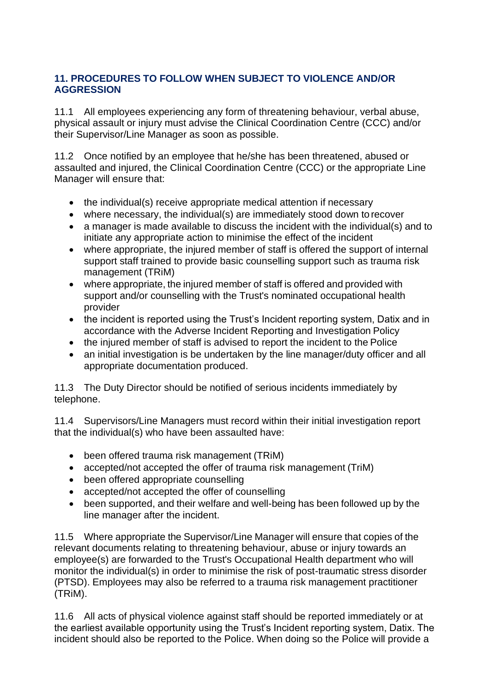## <span id="page-16-0"></span>**11. PROCEDURES TO FOLLOW WHEN SUBJECT TO VIOLENCE AND/OR AGGRESSION**

11.1 All employees experiencing any form of threatening behaviour, verbal abuse, physical assault or injury must advise the Clinical Coordination Centre (CCC) and/or their Supervisor/Line Manager as soon as possible.

11.2 Once notified by an employee that he/she has been threatened, abused or assaulted and injured, the Clinical Coordination Centre (CCC) or the appropriate Line Manager will ensure that:

- the individual(s) receive appropriate medical attention if necessary
- where necessary, the individual(s) are immediately stood down to recover
- a manager is made available to discuss the incident with the individual(s) and to initiate any appropriate action to minimise the effect of the incident
- where appropriate, the injured member of staff is offered the support of internal support staff trained to provide basic counselling support such as trauma risk management (TRiM)
- where appropriate, the injured member of staff is offered and provided with support and/or counselling with the Trust's nominated occupational health provider
- the incident is reported using the Trust's Incident reporting system, Datix and in accordance with the Adverse Incident Reporting and Investigation Policy
- the injured member of staff is advised to report the incident to the Police
- an initial investigation is be undertaken by the line manager/duty officer and all appropriate documentation produced.

11.3 The Duty Director should be notified of serious incidents immediately by telephone.

11.4 Supervisors/Line Managers must record within their initial investigation report that the individual(s) who have been assaulted have:

- been offered trauma risk management (TRiM)
- accepted/not accepted the offer of trauma risk management (TriM)
- been offered appropriate counselling
- accepted/not accepted the offer of counselling
- been supported, and their welfare and well-being has been followed up by the line manager after the incident.

11.5 Where appropriate the Supervisor/Line Manager will ensure that copies of the relevant documents relating to threatening behaviour, abuse or injury towards an employee(s) are forwarded to the Trust's Occupational Health department who will monitor the individual(s) in order to minimise the risk of post-traumatic stress disorder (PTSD). Employees may also be referred to a trauma risk management practitioner (TRiM).

11.6 All acts of physical violence against staff should be reported immediately or at the earliest available opportunity using the Trust's Incident reporting system, Datix. The incident should also be reported to the Police. When doing so the Police will provide a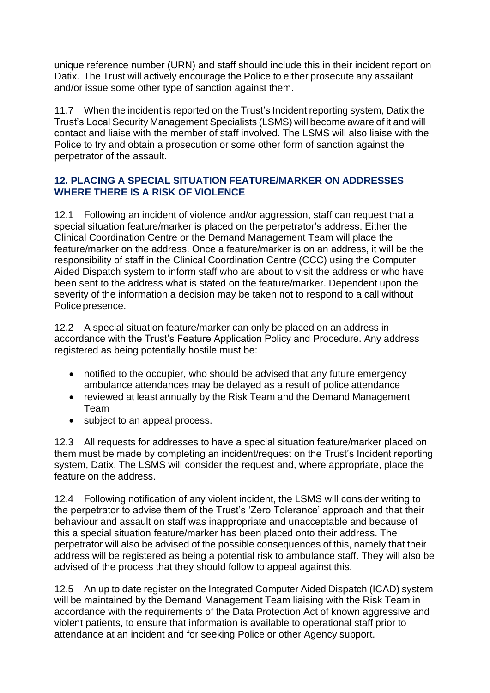unique reference number (URN) and staff should include this in their incident report on Datix. The Trust will actively encourage the Police to either prosecute any assailant and/or issue some other type of sanction against them.

11.7 When the incident is reported on the Trust's Incident reporting system, Datix the Trust's Local Security Management Specialists (LSMS) will become aware of it and will contact and liaise with the member of staff involved. The LSMS will also liaise with the Police to try and obtain a prosecution or some other form of sanction against the perpetrator of the assault.

## <span id="page-17-0"></span>**12. PLACING A SPECIAL SITUATION FEATURE/MARKER ON ADDRESSES WHERE THERE IS A RISK OF VIOLENCE**

12.1 Following an incident of violence and/or aggression, staff can request that a special situation feature/marker is placed on the perpetrator's address. Either the Clinical Coordination Centre or the Demand Management Team will place the feature/marker on the address. Once a feature/marker is on an address, it will be the responsibility of staff in the Clinical Coordination Centre (CCC) using the Computer Aided Dispatch system to inform staff who are about to visit the address or who have been sent to the address what is stated on the feature/marker. Dependent upon the severity of the information a decision may be taken not to respond to a call without Police presence.

12.2 A special situation feature/marker can only be placed on an address in accordance with the Trust's Feature Application Policy and Procedure. Any address registered as being potentially hostile must be:

- notified to the occupier, who should be advised that any future emergency ambulance attendances may be delayed as a result of police attendance
- reviewed at least annually by the Risk Team and the Demand Management Team
- subject to an appeal process.

12.3 All requests for addresses to have a special situation feature/marker placed on them must be made by completing an incident/request on the Trust's Incident reporting system, Datix. The LSMS will consider the request and, where appropriate, place the feature on the address.

12.4 Following notification of any violent incident, the LSMS will consider writing to the perpetrator to advise them of the Trust's 'Zero Tolerance' approach and that their behaviour and assault on staff was inappropriate and unacceptable and because of this a special situation feature/marker has been placed onto their address. The perpetrator will also be advised of the possible consequences of this, namely that their address will be registered as being a potential risk to ambulance staff. They will also be advised of the process that they should follow to appeal against this.

12.5 An up to date register on the Integrated Computer Aided Dispatch (ICAD) system will be maintained by the Demand Management Team liaising with the Risk Team in accordance with the requirements of the Data Protection Act of known aggressive and violent patients, to ensure that information is available to operational staff prior to attendance at an incident and for seeking Police or other Agency support.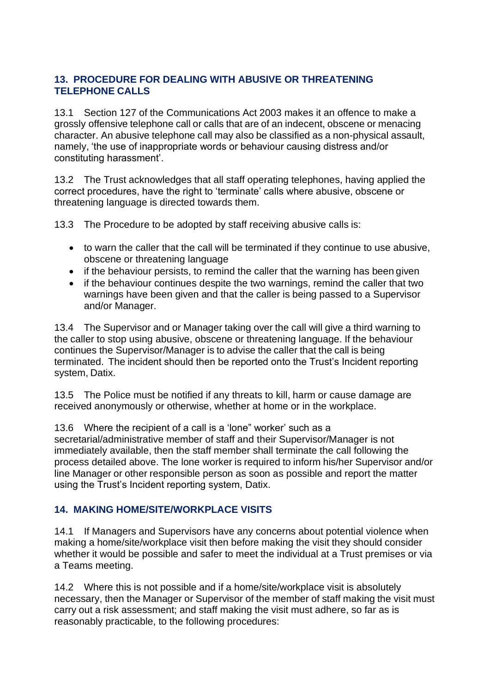## <span id="page-18-0"></span>**13. PROCEDURE FOR DEALING WITH ABUSIVE OR THREATENING TELEPHONE CALLS**

13.1 Section 127 of the Communications Act 2003 makes it an offence to make a grossly offensive telephone call or calls that are of an indecent, obscene or menacing character. An abusive telephone call may also be classified as a non-physical assault, namely, 'the use of inappropriate words or behaviour causing distress and/or constituting harassment'.

13.2 The Trust acknowledges that all staff operating telephones, having applied the correct procedures, have the right to 'terminate' calls where abusive, obscene or threatening language is directed towards them.

13.3 The Procedure to be adopted by staff receiving abusive calls is:

- to warn the caller that the call will be terminated if they continue to use abusive, obscene or threatening language
- if the behaviour persists, to remind the caller that the warning has been given
- if the behaviour continues despite the two warnings, remind the caller that two warnings have been given and that the caller is being passed to a Supervisor and/or Manager.

13.4 The Supervisor and or Manager taking over the call will give a third warning to the caller to stop using abusive, obscene or threatening language. If the behaviour continues the Supervisor/Manager is to advise the caller that the call is being terminated. The incident should then be reported onto the Trust's Incident reporting system, Datix.

13.5 The Police must be notified if any threats to kill, harm or cause damage are received anonymously or otherwise, whether at home or in the workplace.

13.6 Where the recipient of a call is a 'lone" worker' such as a secretarial/administrative member of staff and their Supervisor/Manager is not immediately available, then the staff member shall terminate the call following the process detailed above. The lone worker is required to inform his/her Supervisor and/or line Manager or other responsible person as soon as possible and report the matter using the Trust's Incident reporting system, Datix.

## <span id="page-18-1"></span>**14. MAKING HOME/SITE/WORKPLACE VISITS**

14.1 If Managers and Supervisors have any concerns about potential violence when making a home/site/workplace visit then before making the visit they should consider whether it would be possible and safer to meet the individual at a Trust premises or via a Teams meeting.

14.2 Where this is not possible and if a home/site/workplace visit is absolutely necessary, then the Manager or Supervisor of the member of staff making the visit must carry out a risk assessment; and staff making the visit must adhere, so far as is reasonably practicable, to the following procedures: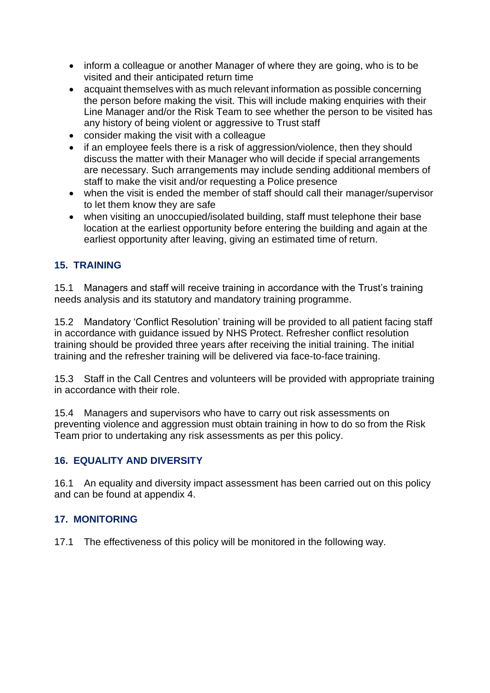- inform a colleague or another Manager of where they are going, who is to be visited and their anticipated return time
- acquaint themselves with as much relevant information as possible concerning the person before making the visit. This will include making enquiries with their Line Manager and/or the Risk Team to see whether the person to be visited has any history of being violent or aggressive to Trust staff
- consider making the visit with a colleague
- if an employee feels there is a risk of aggression/violence, then they should discuss the matter with their Manager who will decide if special arrangements are necessary. Such arrangements may include sending additional members of staff to make the visit and/or requesting a Police presence
- when the visit is ended the member of staff should call their manager/supervisor to let them know they are safe
- when visiting an unoccupied/isolated building, staff must telephone their base location at the earliest opportunity before entering the building and again at the earliest opportunity after leaving, giving an estimated time of return.

## <span id="page-19-0"></span>**15. TRAINING**

15.1 Managers and staff will receive training in accordance with the Trust's training needs analysis and its statutory and mandatory training programme.

15.2 Mandatory 'Conflict Resolution' training will be provided to all patient facing staff in accordance with guidance issued by NHS Protect. Refresher conflict resolution training should be provided three years after receiving the initial training. The initial training and the refresher training will be delivered via face-to-face training.

15.3 Staff in the Call Centres and volunteers will be provided with appropriate training in accordance with their role.

15.4 Managers and supervisors who have to carry out risk assessments on preventing violence and aggression must obtain training in how to do so from the Risk Team prior to undertaking any risk assessments as per this policy.

## <span id="page-19-1"></span>**16. EQUALITY AND DIVERSITY**

16.1 An equality and diversity impact assessment has been carried out on this policy and can be found at appendix 4.

## <span id="page-19-2"></span>**17. MONITORING**

17.1 The effectiveness of this policy will be monitored in the following way.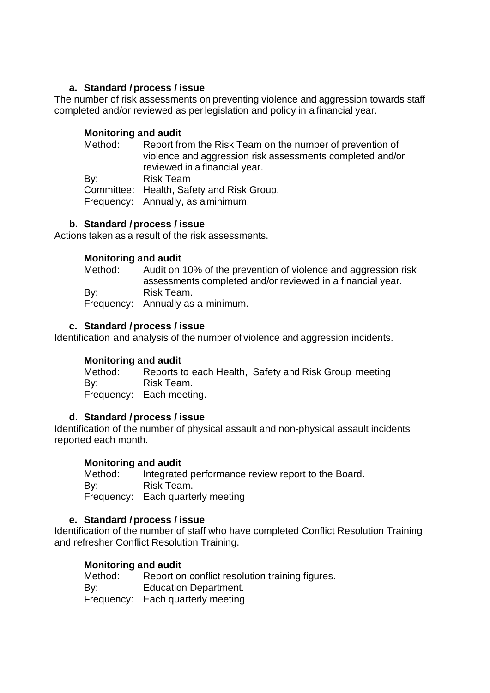#### **a. Standard / process / issue**

The number of risk assessments on preventing violence and aggression towards staff completed and/or reviewed as perlegislation and policy in a financial year.

#### **Monitoring and audit**

| Method: | Report from the Risk Team on the number of prevention of<br>violence and aggression risk assessments completed and/or<br>reviewed in a financial year. |
|---------|--------------------------------------------------------------------------------------------------------------------------------------------------------|
| By:     | <b>Risk Team</b><br>Committee: Health, Safety and Risk Group.<br>Frequency: Annually, as a minimum.                                                    |

#### **b. Standard / process / issue**

Actions taken as a result of the risk assessments.

#### **Monitoring and audit**

| Method: | Audit on 10% of the prevention of violence and aggression risk<br>assessments completed and/or reviewed in a financial year. |
|---------|------------------------------------------------------------------------------------------------------------------------------|
| By:     | Risk Team.<br>Frequency: Annually as a minimum.                                                                              |

#### **c. Standard / process / issue**

Identification and analysis of the number of violence and aggression incidents.

#### **Monitoring and audit**

Method: Reports to each Health, Safety and Risk Group meeting By: Risk Team. Frequency: Each meeting.

#### **d. Standard / process / issue**

Identification of the number of physical assault and non-physical assault incidents reported each month.

#### **Monitoring and audit**

Method: Integrated performance review report to the Board. By: Risk Team. Frequency: Each quarterly meeting

#### **e. Standard / process / issue**

Identification of the number of staff who have completed Conflict Resolution Training and refresher Conflict Resolution Training.

#### **Monitoring and audit**

| Method: | Report on conflict resolution training figures. |
|---------|-------------------------------------------------|
| By:     | <b>Education Department.</b>                    |
|         | Frequency: Each quarterly meeting               |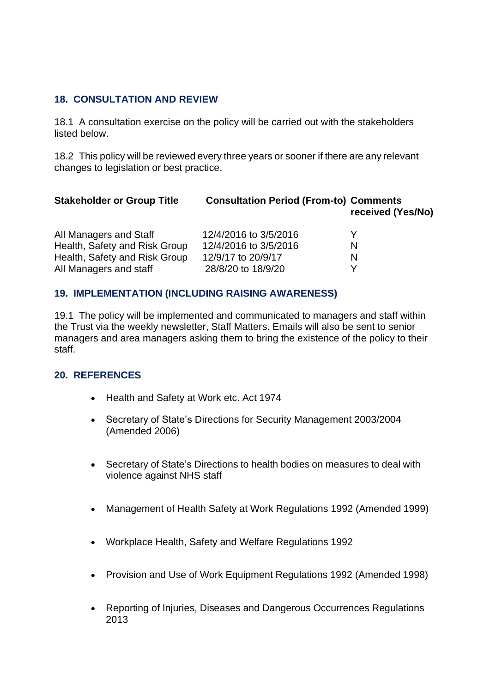#### <span id="page-21-0"></span>**18. CONSULTATION AND REVIEW**

18.1 A consultation exercise on the policy will be carried out with the stakeholders listed below.

18.2 This policy will be reviewed every three years or sooner if there are any relevant changes to legislation or best practice.

| <b>Stakeholder or Group Title</b> | <b>Consultation Period (From-to) Comments</b> | received (Yes/No) |
|-----------------------------------|-----------------------------------------------|-------------------|
| All Managers and Staff            | 12/4/2016 to 3/5/2016                         |                   |
| Health, Safety and Risk Group     | 12/4/2016 to 3/5/2016                         | N                 |
| Health, Safety and Risk Group     | 12/9/17 to 20/9/17                            | N                 |
| All Managers and staff            | 28/8/20 to 18/9/20                            |                   |

## <span id="page-21-1"></span>**19. IMPLEMENTATION (INCLUDING RAISING AWARENESS)**

19.1 The policy will be implemented and communicated to managers and staff within the Trust via the weekly newsletter, Staff Matters. Emails will also be sent to senior managers and area managers asking them to bring the existence of the policy to their staff.

## <span id="page-21-2"></span>**20. REFERENCES**

- Health and Safety at Work etc. Act 1974
- Secretary of State's Directions for Security Management 2003/2004 (Amended 2006)
- Secretary of State's Directions to health bodies on measures to deal with violence against NHS staff
- Management of Health Safety at Work Regulations 1992 (Amended 1999)
- Workplace Health, Safety and Welfare Regulations 1992
- Provision and Use of Work Equipment Regulations 1992 (Amended 1998)
- Reporting of Injuries, Diseases and Dangerous Occurrences Regulations 2013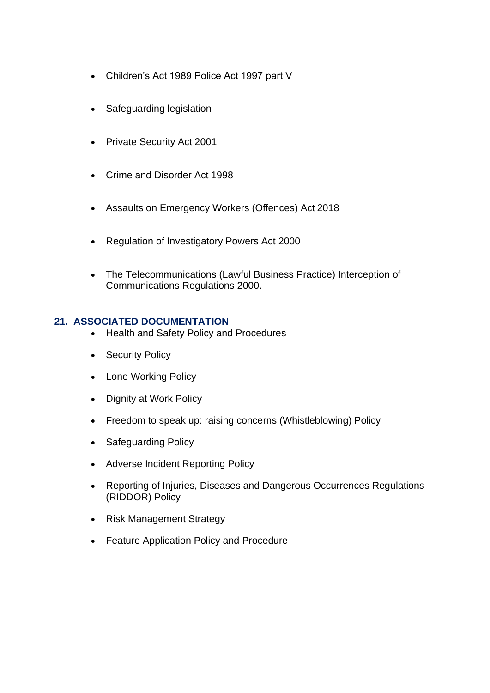- Children's Act 1989 Police Act 1997 part V
- Safeguarding legislation
- Private Security Act 2001
- Crime and Disorder Act 1998
- Assaults on Emergency Workers (Offences) Act 2018
- Regulation of Investigatory Powers Act 2000
- The Telecommunications (Lawful Business Practice) Interception of Communications Regulations 2000.

#### <span id="page-22-0"></span>**21. ASSOCIATED DOCUMENTATION**

- Health and Safety Policy and Procedures
- Security Policy
- Lone Working Policy
- Dignity at Work Policy
- Freedom to speak up: raising concerns (Whistleblowing) Policy
- Safeguarding Policy
- Adverse Incident Reporting Policy
- Reporting of Injuries, Diseases and Dangerous Occurrences Regulations (RIDDOR) Policy
- Risk Management Strategy
- Feature Application Policy and Procedure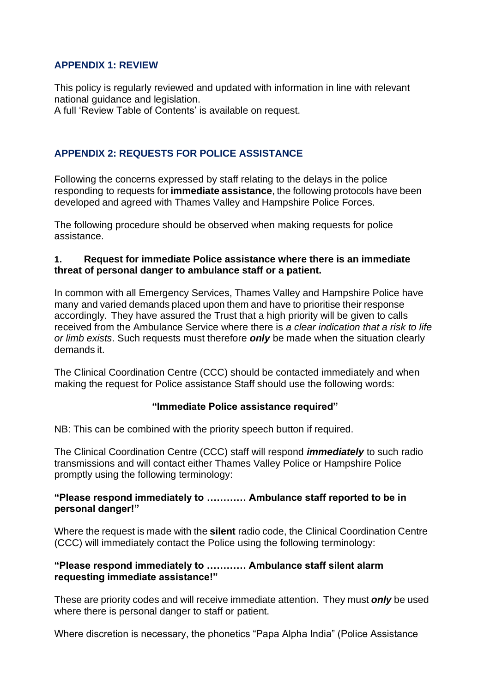## <span id="page-24-0"></span>**APPENDIX 1: REVIEW**

This policy is regularly reviewed and updated with information in line with relevant national guidance and legislation.

A full 'Review Table of Contents' is available on request.

## **APPENDIX 2: REQUESTS FOR POLICE ASSISTANCE**

Following the concerns expressed by staff relating to the delays in the police responding to requests for **immediate assistance**, the following protocols have been developed and agreed with Thames Valley and Hampshire Police Forces.

The following procedure should be observed when making requests for police assistance.

#### **1. Request for immediate Police assistance where there is an immediate threat of personal danger to ambulance staff or a patient.**

In common with all Emergency Services, Thames Valley and Hampshire Police have many and varied demands placed upon them and have to prioritise their response accordingly. They have assured the Trust that a high priority will be given to calls received from the Ambulance Service where there is *a clear indication that a risk to life or limb exists*. Such requests must therefore *only* be made when the situation clearly demands it.

The Clinical Coordination Centre (CCC) should be contacted immediately and when making the request for Police assistance Staff should use the following words:

#### **"Immediate Police assistance required"**

NB: This can be combined with the priority speech button if required.

The Clinical Coordination Centre (CCC) staff will respond *immediately* to such radio transmissions and will contact either Thames Valley Police or Hampshire Police promptly using the following terminology:

#### **"Please respond immediately to ………… Ambulance staff reported to be in personal danger!"**

Where the request is made with the **silent** radio code, the Clinical Coordination Centre (CCC) will immediately contact the Police using the following terminology:

#### **"Please respond immediately to ………… Ambulance staff silent alarm requesting immediate assistance!"**

These are priority codes and will receive immediate attention. They must *only* be used where there is personal danger to staff or patient.

Where discretion is necessary, the phonetics "Papa Alpha India" (Police Assistance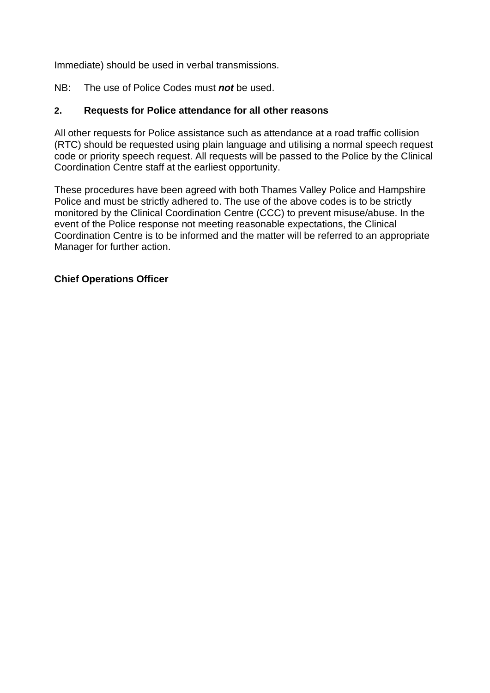Immediate) should be used in verbal transmissions.

NB: The use of Police Codes must *not* be used.

## **2. Requests for Police attendance for all other reasons**

All other requests for Police assistance such as attendance at a road traffic collision (RTC) should be requested using plain language and utilising a normal speech request code or priority speech request. All requests will be passed to the Police by the Clinical Coordination Centre staff at the earliest opportunity.

These procedures have been agreed with both Thames Valley Police and Hampshire Police and must be strictly adhered to. The use of the above codes is to be strictly monitored by the Clinical Coordination Centre (CCC) to prevent misuse/abuse. In the event of the Police response not meeting reasonable expectations, the Clinical Coordination Centre is to be informed and the matter will be referred to an appropriate Manager for further action.

#### **Chief Operations Officer**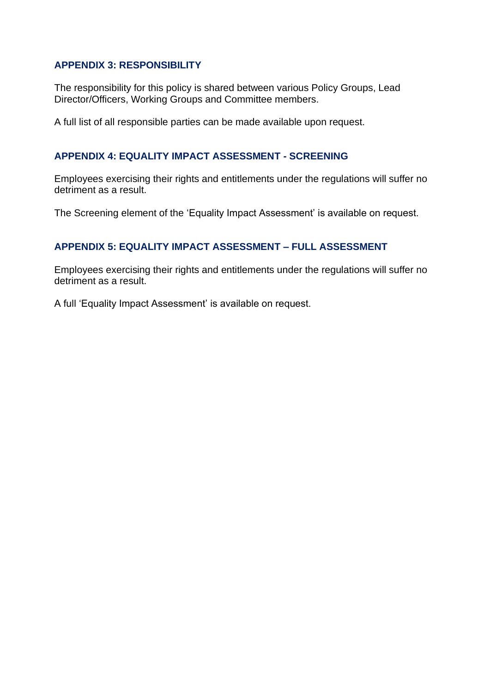#### **APPENDIX 3: RESPONSIBILITY**

The responsibility for this policy is shared between various Policy Groups, Lead Director/Officers, Working Groups and Committee members.

A full list of all responsible parties can be made available upon request.

#### **APPENDIX 4: EQUALITY IMPACT ASSESSMENT - SCREENING**

Employees exercising their rights and entitlements under the regulations will suffer no detriment as a result.

The Screening element of the 'Equality Impact Assessment' is available on request.

## **APPENDIX 5: EQUALITY IMPACT ASSESSMENT – FULL ASSESSMENT**

Employees exercising their rights and entitlements under the regulations will suffer no detriment as a result.

A full 'Equality Impact Assessment' is available on request.